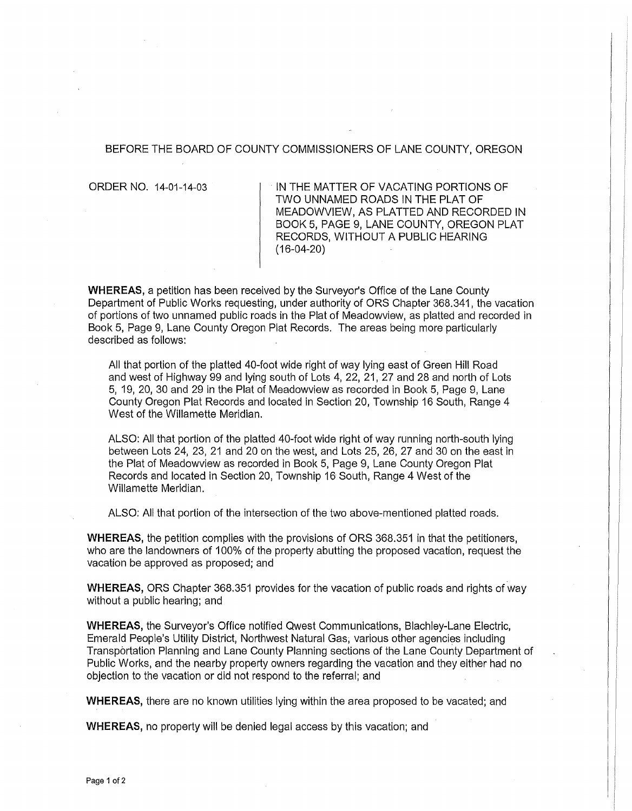#### BEFORE THE BOARD OF COUNTY COMMISSIONERS OF LANE COUNTY, OREGON

ORDER NO. 14-01-14-03 IN THE MATTER OF VACATING PORTIONS OF TWO UNNAMED ROADS IN THE PLAT OF MEADOWVIEW, AS PLATTED AND RECORDED IN BOOK 5, PAGE 9, LANE COUNTY, OREGON PLAT RECORDS, WITHOUT A PUBLIC HEARING (16-04-20)

**WHEREAS,** a petition has been received by the Surveyor's Office of the Lane County Department of Public Works requesting, under authority of ORS Chapter 368.341, the vacation of portions of two unnamed public roads in the Plat of Meadowview, as platted and recorded in Book 5, Page 9, Lane County Oregon Plat Records. The areas being more particularly described as follows:

All that portion of the platted 40-foot wide right of way lying east of Green Hill Road and west of Highway 99 and lying south of Lots 4, 22, 21, 27 and 28 and north of Lots 5, 19, 20, 30 and 29 in the Plat of Meadowview as recorded in Book 5, Page 9, Lane County Oregon Plat Records and located in Section 20, Township 16 South, Range 4 West of the Willamette Meridian.

ALSO: All that portion of the platted 40-foot wide right of way running north-south lying between Lots 24, 23, 21 and 20 on the west, and Lots 25, 26, 27 and 30 on the east in the Plat of Meadowview as recorded in Book 5, Page 9, Lane County Oregon Plat Records and located in Section 20, Township 16 South, Range 4 West of the Willamette Meridian.

ALSO: All that portion of the intersection of the two above-mentioned platted roads.

**WHEREAS,** the petition complies with the provisions of ORS 368.351 in that the petitioners, who are the landowners of 100% of the property abutting the proposed vacation, request the vacation be approved as proposed; and

**WHEREAS,** ORS Chapter 368.351 provides for the vacation of public roads and rights of way without a public hearing; and

**WHEREAS,** the Surveyor's Office notified Qwest Communications, Blachley-Lane Electric, Emerald People's Utility District, Northwest Natural Gas; various other agencies including Transportation Planning and Lane County Planning sections of the Lane County Department of Public Works, and the nearby property owners regarding the vacation and they either had no objection to the vacation or did not respond to the referral; and

**WHEREAS,** there are no known utilities lying within the area proposed to be vacated; and

**WHEREAS,** no property will be denied legal access by this vacation; and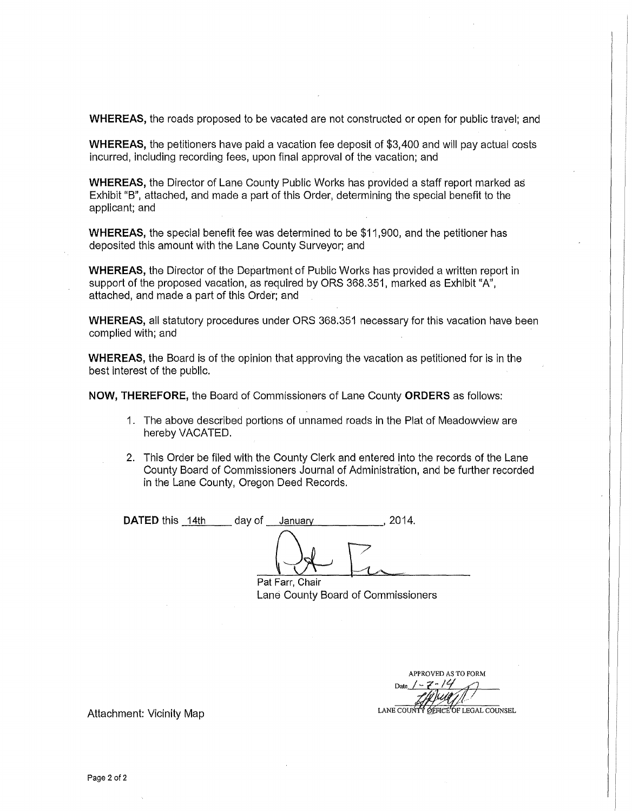**WHEREAS,** the roads proposed to be vacated are not constructed or open for public travel; and

**WHEREAS,** the petitioners have paid a vacation fee deposit of \$3,400 and will pay actual costs incurred, including recording fees, upon final approval of the vacation; and

**WHEREAS,** the Director of Lane County Public Works has provided a staff report marked as Exhibit "B", attached, and made a part of this Order, determining the special benefit to the applicant; and

**WHEREAS,** the special benefit fee was determined to be \$11,900, and the petitioner has deposited this amount with the Lane County Surveyor; and

**WHEREAS,** the Director of the Department of Public Works has provided a written report in support of the proposed vacation, as required by ORS 368.351, marked as Exhibit "A", attached, and made a part of this Order; and

**WHEREAS,** all statutory procedures under ORS 368.351 necessary for this vacation have been complied with; and

**WHEREAS,** the Board is of the opinion that approving the vacation as petitioned for is in the best interest of the public.

**NOW, THEREFORE,** the Board of Commissioners of Lane County **ORDERS** as follows:

- 1. The above described portions of unnamed roads in the Plat of Meadowview are hereby VACATED.
- 2. This Order be filed with the County Clerk and entered into the records of the Lane County Board of Commissioners Journal of Administration, and be further recorded in the Lane County, Oregon Deed Records.

**DATED** this 14th day of January , 2014.  $\bigoplus_{\text{Pat Farr, Chair}}$ 

Lane County Board of Commissioners

APPROVED AS TO FORM Date  $1 - \frac{2 - 14}{24}$ 

LANE COUNTY OFFICE OF LEGAL COUNSEL

Attachment: Vicinity Map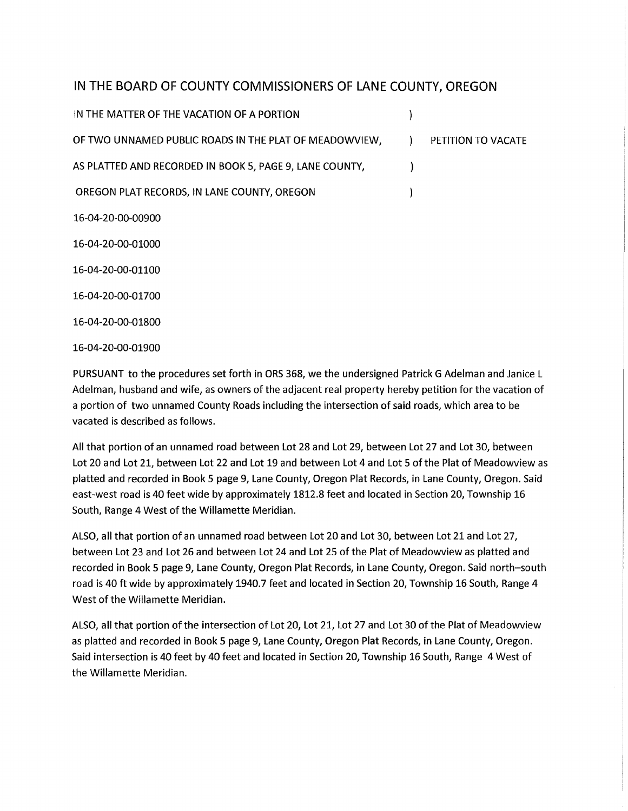# IN **THE BOARD OF COUNTY COMMISSIONERS OF LANE COUNTY, OREGON**

IN THE MATIER OF THE VACATION OF A PORTION  $\mathcal{E}$ OF TWO UNNAMED PUBLIC ROADS IN THE PLAT OF MEADOWVIEW, FOR PETITION TO VACATE AS PLATIED AND RECORDED IN BOOK 5, PAGE 9, LANE COUNTY,  $\lambda$ OREGON PLAT RECORDS, IN LANE COUNTY, OREGON  $\mathcal{E}$ 16-04-20-00-00900 16-04-20-00-01000 16-04-20-00-01100 16-04-20-00-01700 16-04-20-00-01800

16-04-20-00-01900

PURSUANT to the procedures set forth in ORS 368, we the undersigned Patrick G Adelman and Janice L Adelman, husband and wife, as owners of the adjacent real property hereby petition for the vacation of a portion of two unnamed County Roads including the intersection of said roads, which area to be vacated is described as follows.

All that portion of an unnamed road between Lot 28 and Lot 29, between Lot 27 and Lot 30, between Lot 20 and Lot 21, between Lot 22 and Lot 19 and between Lot 4 and Lot 5 of the Plat of Meadowview as platted and recorded in Book 5 page 9, Lane County, Oregon Plat Records, in Lane County, Oregon. Said east-west road is 40 feet wide by approximately 1812.8 feet and located in Section 20, Township 16 South, Range 4 West of the Willamette Meridian.

ALSO, all that portion of an unnamed road between Lot 20 and Lot 30, between Lot 21 and Lot 27, between Lot 23 and Lot 26 and between Lot 24 and Lot 25 of the Plat of Meadowview as platted and recorded in Book 5 page 9, Lane County, Oregon Plat Records, in Lane County, Oregon. Said north-south road is 40ft wide by approximately 1940.7 feet and located in Section 20, Township 16 South, Range 4 West of the Willamette Meridian.

ALSO, all that portion of the intersection of Lot 20, Lot 21, Lot 27 and Lot 30 of the Plat of Meadowview as platted and recorded in Book 5 page 9, Lane County, Oregon Plat Records, in Lane County, Oregon. Said intersection is 40 feet by 40 feet and located in Section 20, Township 16 South, Range 4 West of the Willamette Meridian.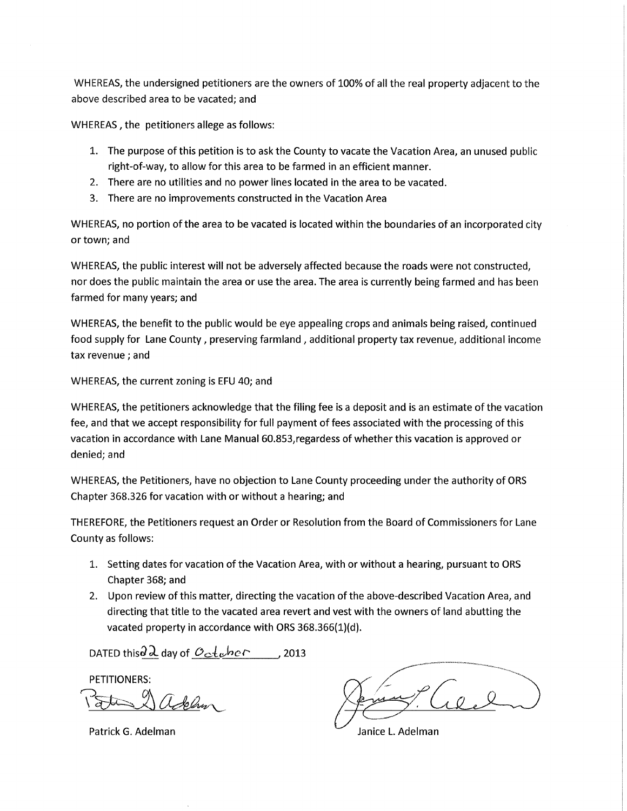WHEREAS, the undersigned petitioners are the owners of 100% of all the real property adjacent to the above described area to be vacated; and

WHEREAS, the petitioners allege as follows:

- 1. The purpose of this petition is to ask the County to vacate the Vacation Area, an unused public right-of-way, to allow for this area to be farmed in an efficient manner.
- 2. There are no utilities and no power lines located in the area to be vacated.
- 3. There are no improvements constructed in the Vacation Area

WHEREAS, no portion of the area to be vacated is located within the boundaries of an incorporated city or town; and

WHEREAS, the public interest will not be adversely affected because the roads were not constructed, nor does the public maintain the area or use the area. The area is currently being farmed and has been farmed for many years; and

WHEREAS, the benefit to the public would be eye appealing crops and animals being raised, continued food supply for Lane County, preserving farmland, additional property tax revenue, additional income tax revenue; and

WHEREAS, the current zoning is EFU 40; and

WHEREAS, the petitioners acknowledge that the filing fee is a deposit and is an estimate of the vacation fee, and that we accept responsibility for full payment of fees associated with the processing of this vacation in accordance with Lane Manual 60.853,regardess of whether this vacation is approved or denied; and

WHEREAS, the Petitioners, have no objection to Lane County proceeding under the authority of ORS Chapter 368.326 for vacation with or without a hearing; and

THEREFORE, the Petitioners request an Order or Resolution from the Board of Commissioners for Lane County as follows:

- 1. Setting dates for vacation of the Vacation Area, with or without a hearing, pursuant to ORS Chapter 368; and
- 2. Upon review of this matter, directing the vacation of the above-described Vacation Area, and directing that title to the vacated area revert and vest with the owners of land abutting the vacated property in accordance with ORS 368.366(1)(d).

DATED thisd  $\lambda$  day of  $Oct$ <sub>c</sub>her, 2013

PETITIONERS:

7~3:\ *CldeJ?1-o/'-*

Patrick G. Adelman

 $^{\circ}$  (10,2)

Janice L. Adelman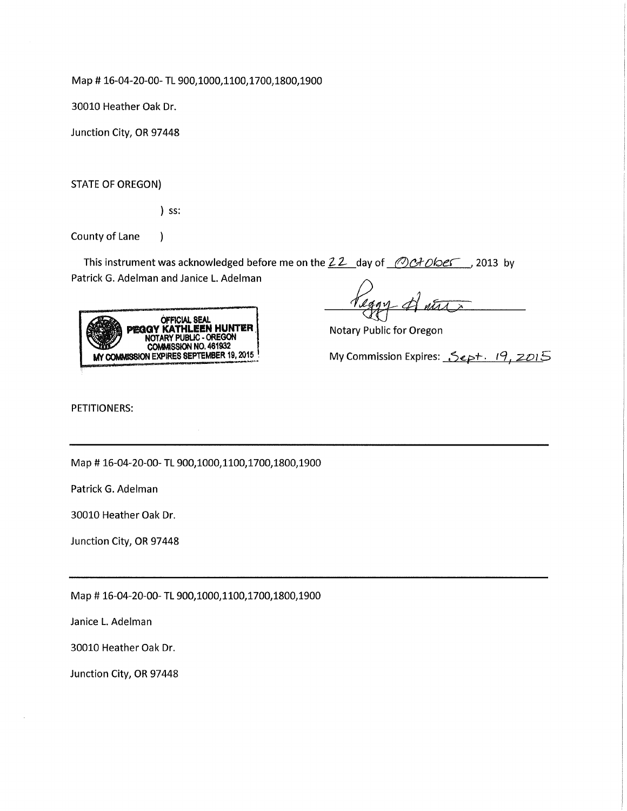Map# 16-04-20-00- TL 900,1000,1100,1700,1800,1900

30010 Heather Oak Dr.

Junction City, OR 97448

STATE OF OREGON)

) ss:

 $\mathcal{E}$ 

County of Lane

This instrument was acknowledged before me on the  $22$  day of  $OCH$  okes possibly Patrick G. Adelman and Janice L. Adelman



Notary Public for Oregon

My Commission Expires: *Sept. 19, 2015* 

PETITIONERS:

Map# 16-04-20-00- TL 900,1000,1100,1700,1800,1900

Patrick G. Adelman

30010 Heather Oak Dr.

Junction City, OR 97448

Map# 16-04-20-00- TL 900,1000,1100,1700,1800,1900

Janice L. Adelman

30010 Heather Oak Dr.

Junction City, OR 97448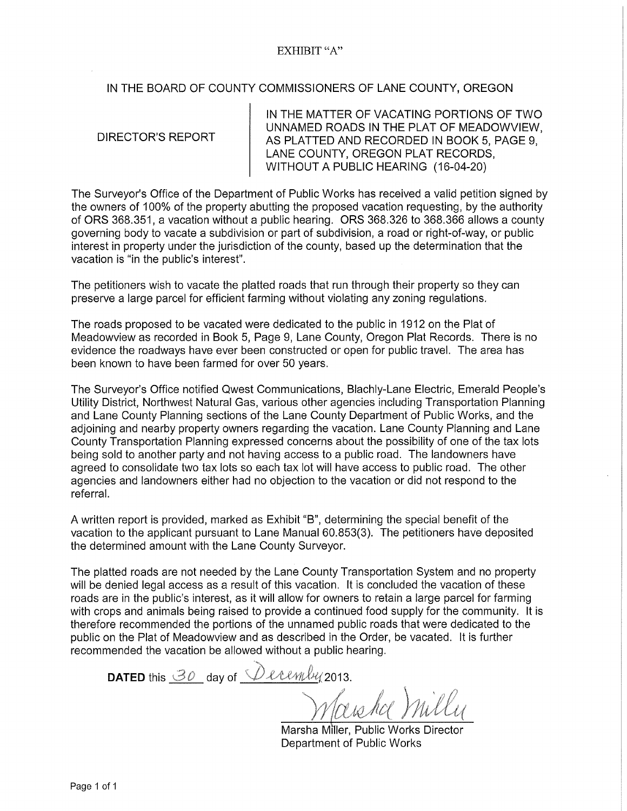### EXHIBIT "A"

### IN THE BOARD OF COUNTY COMMISSIONERS OF LANE COUNTY, OREGON

DIRECTOR'S REPORT

IN THE MATTER OF VACATING PORTIONS OF TWO UNNAMED ROADS IN THE PLAT OF MEADOWVIEW, AS PLATTED AND RECORDED IN BOOK 5, PAGE 9, LANE COUNTY, OREGON PLAT RECORDS, WITHOUT A PUBLIC HEARING (16-04-20)

The Surveyor's Office of the Department of Public Works has received a valid petition signed by the owners of 100% of the property abutting the proposed vacation requesting, by the authority of ORS 368.351, a vacation without a public hearing. ORS 368.326 to 368.366 allows a county governing body to vacate a subdivision or part of subdivision, a road or right-of-way, or public interest in property under the jurisdiction of the county, based up the determination that the vacation is "in the public's interest".

The petitioners wish to vacate the platted roads that run through their property so they can preserve a large parcel for efficient farming without violating any zoning regulations.

The roads proposed to be vacated were dedicated to the public in 1912 on the Plat of Meadowview as recorded in Book 5, Page 9, Lane County, Oregon Plat Records. There is no evidence the roadways have ever been constructed or open for public travel. The area has been known to have been farmed for over 50 years.

The Surveyor's Office notified Qwest Communications, Blachly-Lane Electric, Emerald People's Utility District, Northwest Natural Gas, various other agencies including Transportation Planning and Lane County Planning sections of the Lane County Department of Public Works, and the adjoining and nearby property owners regarding the vacation. Lane County Planning and Lane County Transportation Planning expressed concerns about the possibility of one of the tax lots being sold to another party and not having access to a public road. The landowners have agreed to consolidate two tax lots so each tax lot will have access to public road. The other agencies and landowners either had no objection to the vacation or did not respond to the referral.

A written report is provided, marked as Exhibit "B", determining the special benefit of the vacation to the applicant pursuant to Lane Manual 60.853(3). The petitioners have deposited the determined amount with the Lane County Surveyor.

The platted roads are not needed by the Lane County Transportation System and no property will be denied legal access as a result of this vacation. It is concluded the vacation of these roads are in the public's interest, as it will allow for owners to retain a large parcel for farming with crops and animals being raised to provide a continued food supply for the community. It is therefore recommended the portions of the unnamed public roads that were dedicated to the public on the Plat of Meadowview and as described in the Order, be vacated. It is further recommended the vacation be allowed without a public hearing.

**DATED** this  $\mathcal{B}0$  day of  $\mathcal{D}$  even by 2013.

Marsha Miller, Public Works Director

Department of Public Works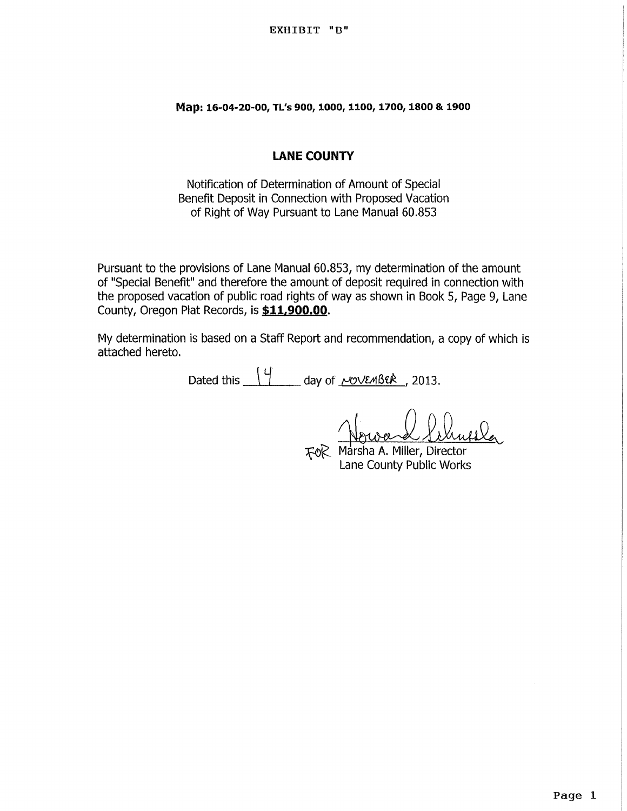**Map: 16-04-20-00, Tl's 900, 1000, 1100, 1100, 1800 & 1900** 

## **LANE COUNTY**

Notification of Determination of Amount of Special Benefit Deposit in Connection with Proposed Vacation of Right of Way Pursuant to Lane Manual 60.853

Pursuant to the provisions of Lane Manual 60.853, my determination of the amount of "Special Benefit" and therefore the amount of deposit required in connection with the proposed vacation of public road rights of way as shown in Book 5, Page 9, Lane County, Oregon Plat Records, is **\$11.900.00.** 

My determination is based on a Staff Report and recommendation, a copy of which is attached hereto.

Dated this  $\frac{4}{1}$  day of  $\frac{\mu\text{v}+3\epsilon k}{1}$ , 2013.

rol Nouvell, 2015.<br>FOR Marsha A. Miller, Director

Lane County Public Works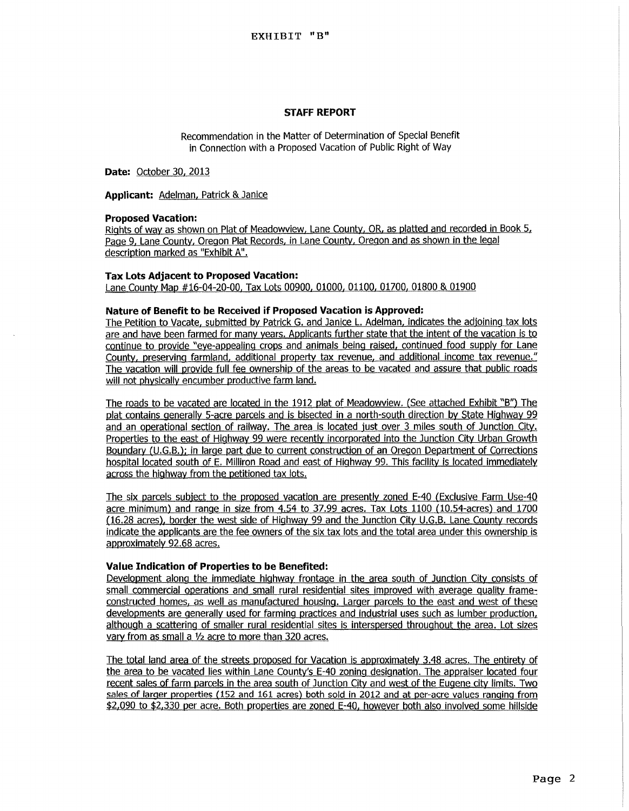#### **STAFF REPORT**

Recommendation in the Matter of Determination of Special Benefit in Connection with a Proposed Vacation of Public Right of Way

**Date:** October 30, 2013

**Applicant:** Adelman, Patrick & Janice

#### **Proposed Vacation:**

Rights of way as shown on Plat of Meadowview, Lane County, OR, as platted and recorded in Book 5, Page 9, Lane County, Oregon Plat Records, in Lane County, Oregon and as shown in the legal description marked as "Exhibit A".

#### **Tax Lots Adjacent to Proposed Vacation:**

Lane County Map #16-04-20-00, Tax Lots 00900, 01000, *01100.* 01700, 01800 & 01900

#### **Nature of Benefit to be Received if Proposed Vacation is Approved:**

The Petition to Vacate, submitted by Patrick G. and Janice L. Adelman, indicates the adjoining tax lots are and have been farmed for many years. Applicants further state that the intent of the vacation is to continue to provide "eye-appealing crops and animals being raised, continued food supply for Lane County, preserving farmland, additional property tax revenue, and additional income tax revenue." The vacation will provide full fee ownership of the areas to be vacated and assure that public roads will not physically encumber productive farm land.

The roads to be vacated are located in the 1912 plat of Meadowview. (See attached Exhibit "B") The plat contains generally 5-acre parcels and is bisected in a north-south direction by State Highway 99 and an operational section of railway. The area is located just over 3 miles south of Junction City. Properties to the east of Highway 99 were recently incorporated into the Junction City Urban Growth Boundary (U.G.B.); in large part due to current construction of an Oregon Department of Corrections hospital located south of E. Milliron Road and east of Highway 99. This facility is located immediately across the highway from the petitioned tax lots.

The six parcels subject to the proposed vacation are presently zoned E-40 (Exclusive Farm Use-40 acre minimum) and range in size from 4.54 to 37.99 acres. Tax Lots 1100 (10.54-acres) and 1700 (16.28 acres), border the west side of Highway 99 and the Junction City U.G.B. Lane County records indicate the applicants are the fee owners of the six tax lots and the total area under this ownership is approximately 92.68 acres.

#### **Value Indication of Properties to be Benefited:**

Development along the immediate highway frontage in the area south of Junction City consists of small commercial operations and small rural residential sites improved with average quality frameconstructed homes, as well as manufactured housing. Larger parcels to the east and west of these developments are generally used for farming practices and Industrial uses such as lumber production, although a scattering of smaller rural residential sites is interspersed throughout the area. Lot sizes vary from as small a  $1/2$  acre to more than 320 acres.

The total land area of the streets proposed for Vacation is approximately 3.48 acres. The entirety of the area to be vacated lies within Lane County's E-40 zoning designation. The appraiser located four recent sales of farm parcels in the area south of Junction City and west of the Eugene city limits. Two sales of larger properties (152 and 161 acres) both sold in 2012 and at per-acre values ranging from \$2,090 to \$2,330 per acre. Both properties are zoned E-40, however both also involved some hillside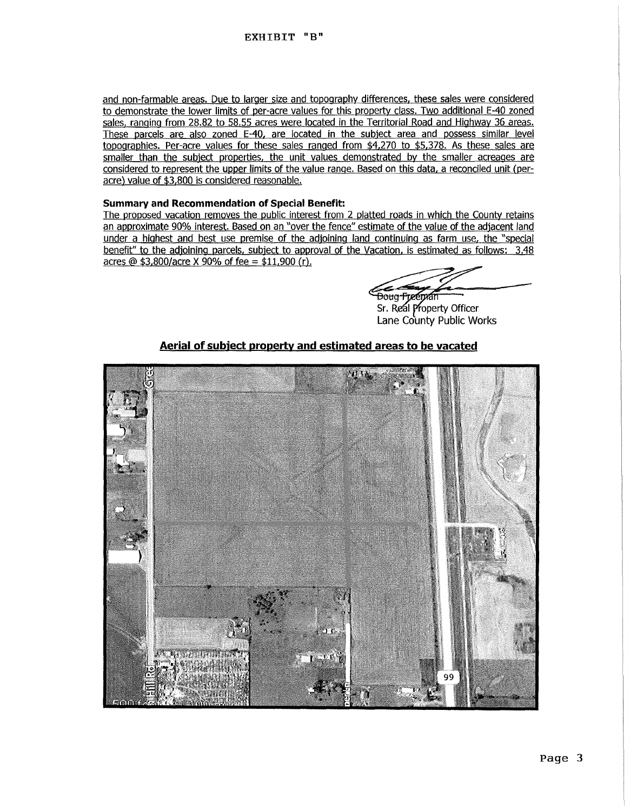and non-farmable areas. Due to larger size and topography differences. these sales were considered to demonstrate the lower limits of per-acre values for this property class. Two additional E-40 zoned sales, ranging from 28.82 to 58.55 acres were located in the Territorial Road and Highway 36 areas. These parcels are also zoned E-40, are located in the subject area and possess similar level topographies. Per-acre values for these sales ranged from \$4,270 to \$5,378. As these sales are smaller than the subject properties, the unit values demonstrated by the smaller acreages are considered to represent the upper limits of the value range. Based on this data, a reconciled unit (peracre) value of \$3.800 is considered reasonable.

#### **Summary and Recommendation of Special Benefit:**

The proposed vacation removes the public interest from 2 platted roads in which the County retains an approximate 90% interest. Based on an "over the fence" estimate of the value of the adjacent land under a highest and best use premise of the adjoining land continuing as farm use, the "special benefit" to the adjoining parcels, subject to approval of the Vacation, is estimated as follows: 3.48 acres @  $$3,800/$ acre X 90% of fee =  $$11,900$  (r).

<del>Doug Freeman</del>

Sr. Real Property Officer Lane County Public Works

### **Aerial of subject property and estimated areas to be vacated**

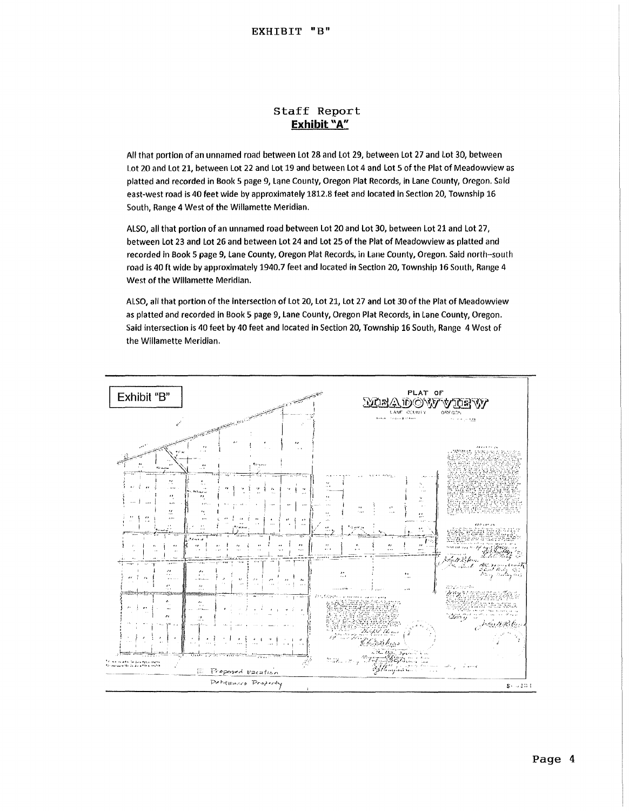### Staff Report **Exhibit** "A"

All that portion of an unnamed road between lot 28 and lot 29, between Lot 27 and lot 30, between Lot 20 and Lot 21, between Lot 22 and Lot 19 and between lot 4 and Lot 5 of the Plat of Meadowview as platted and recorded in Book 5 page 9, Lane County, Oregon Plat Records, in lane County, Oregon. Said east-west road is 40 feet wide by approximately 1812.8 feet and located in Section 20, Township 16 South, Range 4 West of the Willamette Meridian.

ALSO, all that portion of an unnamed road between Lot 20 and Lot 30, between Lot 21 and Lot 27, between Lot 23 and Lot 26 and between Lot 24 and Lot 25 of the Plat of Meadowview as platted and recorded in Book 5 page 9, Lane County, Oregon Plat Records, in Lane County, Oregon. Said north-south road is 40ft wide by approximately 1940.7 feet and located in Section 20, Township 16 South, Range 4 West of the Wlllamette Meridian.

ALSO, all that portion of the Intersection of Lot 20, lot 21, lot 27 and lot 30 of the Plat of Meadowview as platted and recorded in Book 5 page 9, Lane County, Oregon Plat Records, in Lane County, Oregon. Said intersection is 40 feet by 40 feet and located in Section 20, Township 16 South, Range 4 West of the Willamette Meridian.